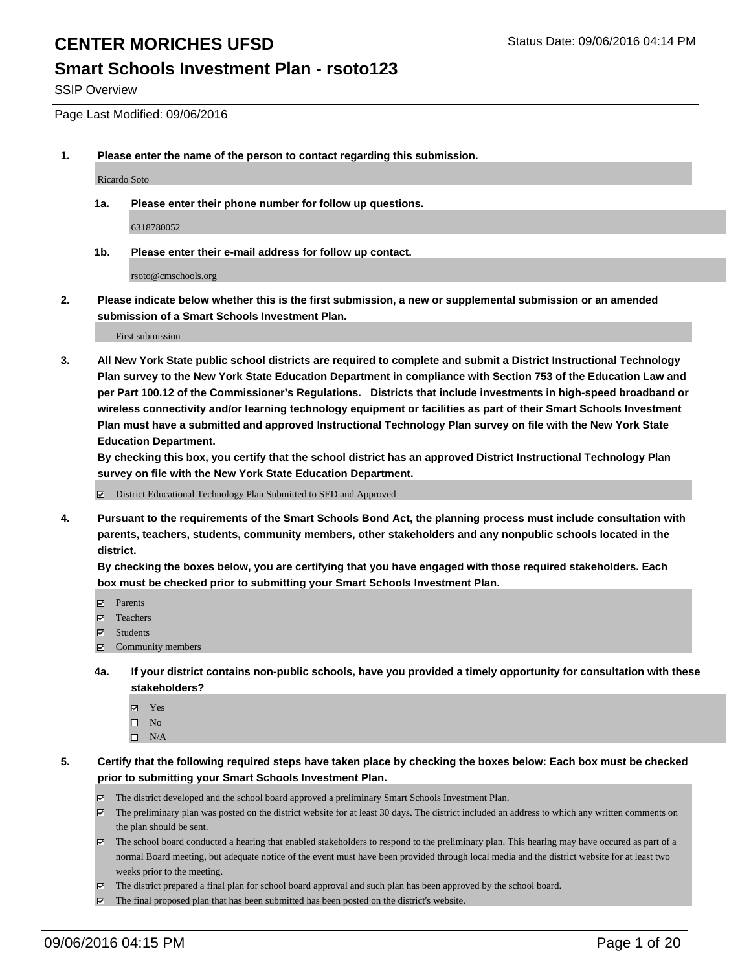#### **Smart Schools Investment Plan - rsoto123**

SSIP Overview

Page Last Modified: 09/06/2016

**1. Please enter the name of the person to contact regarding this submission.**

Ricardo Soto

**1a. Please enter their phone number for follow up questions.**

6318780052

**1b. Please enter their e-mail address for follow up contact.**

rsoto@cmschools.org

**2. Please indicate below whether this is the first submission, a new or supplemental submission or an amended submission of a Smart Schools Investment Plan.**

First submission

**3. All New York State public school districts are required to complete and submit a District Instructional Technology Plan survey to the New York State Education Department in compliance with Section 753 of the Education Law and per Part 100.12 of the Commissioner's Regulations. Districts that include investments in high-speed broadband or wireless connectivity and/or learning technology equipment or facilities as part of their Smart Schools Investment Plan must have a submitted and approved Instructional Technology Plan survey on file with the New York State Education Department.** 

**By checking this box, you certify that the school district has an approved District Instructional Technology Plan survey on file with the New York State Education Department.**

District Educational Technology Plan Submitted to SED and Approved

**4. Pursuant to the requirements of the Smart Schools Bond Act, the planning process must include consultation with parents, teachers, students, community members, other stakeholders and any nonpublic schools located in the district.** 

**By checking the boxes below, you are certifying that you have engaged with those required stakeholders. Each box must be checked prior to submitting your Smart Schools Investment Plan.**

- Parents
- □ Teachers
- $\boxtimes$  Students
- Community members
- **4a. If your district contains non-public schools, have you provided a timely opportunity for consultation with these stakeholders?**
	- Yes  $\square$  No
	- $\square$  N/A
- **5. Certify that the following required steps have taken place by checking the boxes below: Each box must be checked prior to submitting your Smart Schools Investment Plan.**
	- The district developed and the school board approved a preliminary Smart Schools Investment Plan.
	- $\boxtimes$  The preliminary plan was posted on the district website for at least 30 days. The district included an address to which any written comments on the plan should be sent.
	- $\boxtimes$  The school board conducted a hearing that enabled stakeholders to respond to the preliminary plan. This hearing may have occured as part of a normal Board meeting, but adequate notice of the event must have been provided through local media and the district website for at least two weeks prior to the meeting.
	- The district prepared a final plan for school board approval and such plan has been approved by the school board.
	- The final proposed plan that has been submitted has been posted on the district's website.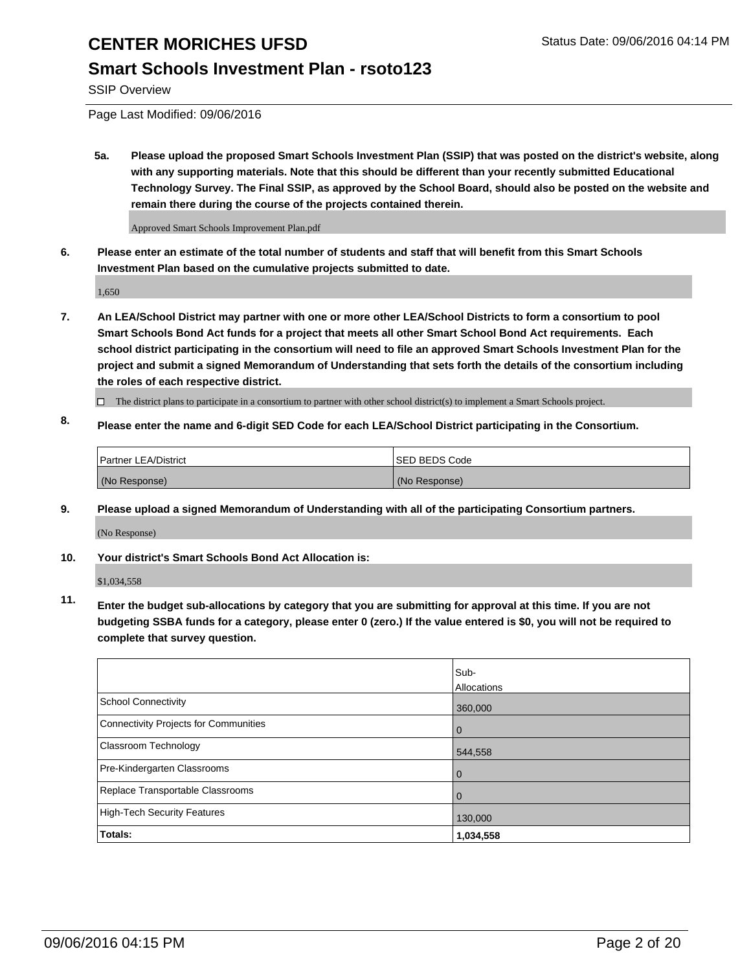#### **Smart Schools Investment Plan - rsoto123**

SSIP Overview

Page Last Modified: 09/06/2016

**5a. Please upload the proposed Smart Schools Investment Plan (SSIP) that was posted on the district's website, along with any supporting materials. Note that this should be different than your recently submitted Educational Technology Survey. The Final SSIP, as approved by the School Board, should also be posted on the website and remain there during the course of the projects contained therein.**

Approved Smart Schools Improvement Plan.pdf

**6. Please enter an estimate of the total number of students and staff that will benefit from this Smart Schools Investment Plan based on the cumulative projects submitted to date.**

1,650

- **7. An LEA/School District may partner with one or more other LEA/School Districts to form a consortium to pool Smart Schools Bond Act funds for a project that meets all other Smart School Bond Act requirements. Each school district participating in the consortium will need to file an approved Smart Schools Investment Plan for the project and submit a signed Memorandum of Understanding that sets forth the details of the consortium including the roles of each respective district.**
	- $\Box$  The district plans to participate in a consortium to partner with other school district(s) to implement a Smart Schools project.
- **8. Please enter the name and 6-digit SED Code for each LEA/School District participating in the Consortium.**

| Partner LEA/District | <b>ISED BEDS Code</b> |
|----------------------|-----------------------|
| (No Response)        | (No Response)         |

**9. Please upload a signed Memorandum of Understanding with all of the participating Consortium partners.**

(No Response)

#### **10. Your district's Smart Schools Bond Act Allocation is:**

\$1,034,558

**11. Enter the budget sub-allocations by category that you are submitting for approval at this time. If you are not budgeting SSBA funds for a category, please enter 0 (zero.) If the value entered is \$0, you will not be required to complete that survey question.**

|                                       | Sub-<br>Allocations |
|---------------------------------------|---------------------|
| <b>School Connectivity</b>            | 360,000             |
| Connectivity Projects for Communities | $\Omega$            |
| Classroom Technology                  | 544,558             |
| Pre-Kindergarten Classrooms           | $\Omega$            |
| Replace Transportable Classrooms      | $\Omega$            |
| <b>High-Tech Security Features</b>    | 130,000             |
| Totals:                               | 1,034,558           |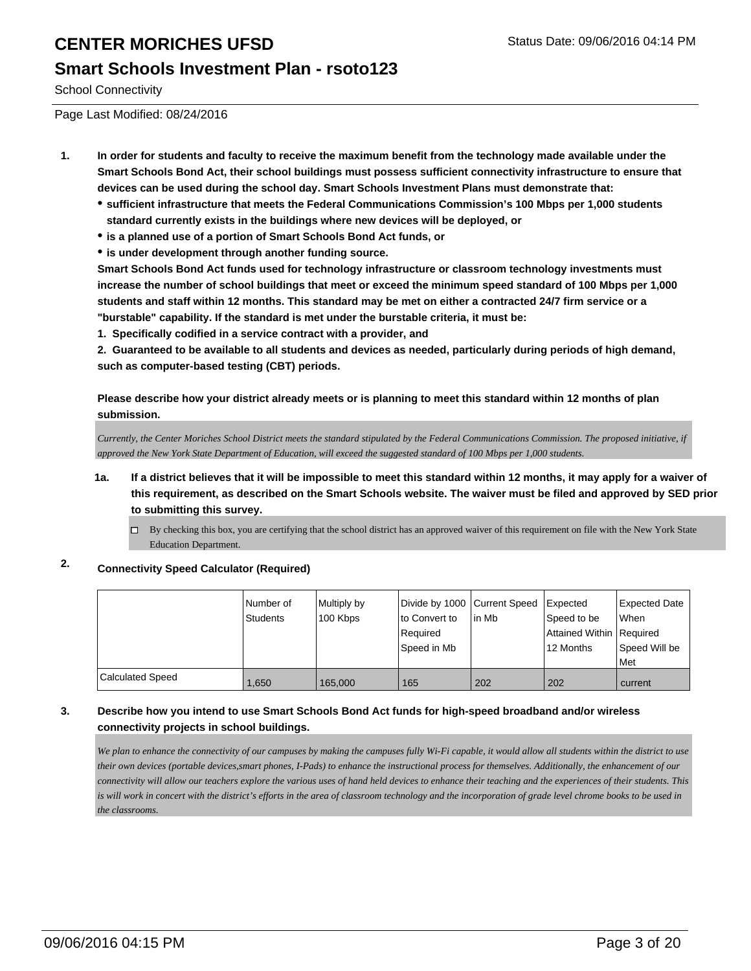#### **Smart Schools Investment Plan - rsoto123**

School Connectivity

Page Last Modified: 08/24/2016

- **1. In order for students and faculty to receive the maximum benefit from the technology made available under the Smart Schools Bond Act, their school buildings must possess sufficient connectivity infrastructure to ensure that devices can be used during the school day. Smart Schools Investment Plans must demonstrate that:**
	- **sufficient infrastructure that meets the Federal Communications Commission's 100 Mbps per 1,000 students standard currently exists in the buildings where new devices will be deployed, or**
	- **is a planned use of a portion of Smart Schools Bond Act funds, or**
	- **is under development through another funding source.**

**Smart Schools Bond Act funds used for technology infrastructure or classroom technology investments must increase the number of school buildings that meet or exceed the minimum speed standard of 100 Mbps per 1,000 students and staff within 12 months. This standard may be met on either a contracted 24/7 firm service or a "burstable" capability. If the standard is met under the burstable criteria, it must be:**

**1. Specifically codified in a service contract with a provider, and**

**2. Guaranteed to be available to all students and devices as needed, particularly during periods of high demand, such as computer-based testing (CBT) periods.**

**Please describe how your district already meets or is planning to meet this standard within 12 months of plan submission.**

*Currently, the Center Moriches School District meets the standard stipulated by the Federal Communications Commission. The proposed initiative, if approved the New York State Department of Education, will exceed the suggested standard of 100 Mbps per 1,000 students.*

- **1a. If a district believes that it will be impossible to meet this standard within 12 months, it may apply for a waiver of this requirement, as described on the Smart Schools website. The waiver must be filed and approved by SED prior to submitting this survey.**
	- By checking this box, you are certifying that the school district has an approved waiver of this requirement on file with the New York State Education Department.

#### **2. Connectivity Speed Calculator (Required)**

|                         | INumber of<br><b>Students</b> | Multiply by<br>100 Kbps | Divide by 1000 Current Speed Expected<br>lto Convert to<br>Required<br>Speed in Mb | lin Mb | Speed to be<br>Attained Within Required<br>12 Months | Expected Date<br><b>When</b><br>Speed Will be<br>l Met |
|-------------------------|-------------------------------|-------------------------|------------------------------------------------------------------------------------|--------|------------------------------------------------------|--------------------------------------------------------|
| <b>Calculated Speed</b> | 1.650                         | 165,000                 | 165                                                                                | 202    | 202                                                  | current                                                |

#### **3. Describe how you intend to use Smart Schools Bond Act funds for high-speed broadband and/or wireless connectivity projects in school buildings.**

*We plan to enhance the connectivity of our campuses by making the campuses fully Wi-Fi capable, it would allow all students within the district to use their own devices (portable devices,smart phones, I-Pads) to enhance the instructional process for themselves. Additionally, the enhancement of our connectivity will allow our teachers explore the various uses of hand held devices to enhance their teaching and the experiences of their students. This is will work in concert with the district's efforts in the area of classroom technology and the incorporation of grade level chrome books to be used in the classrooms.*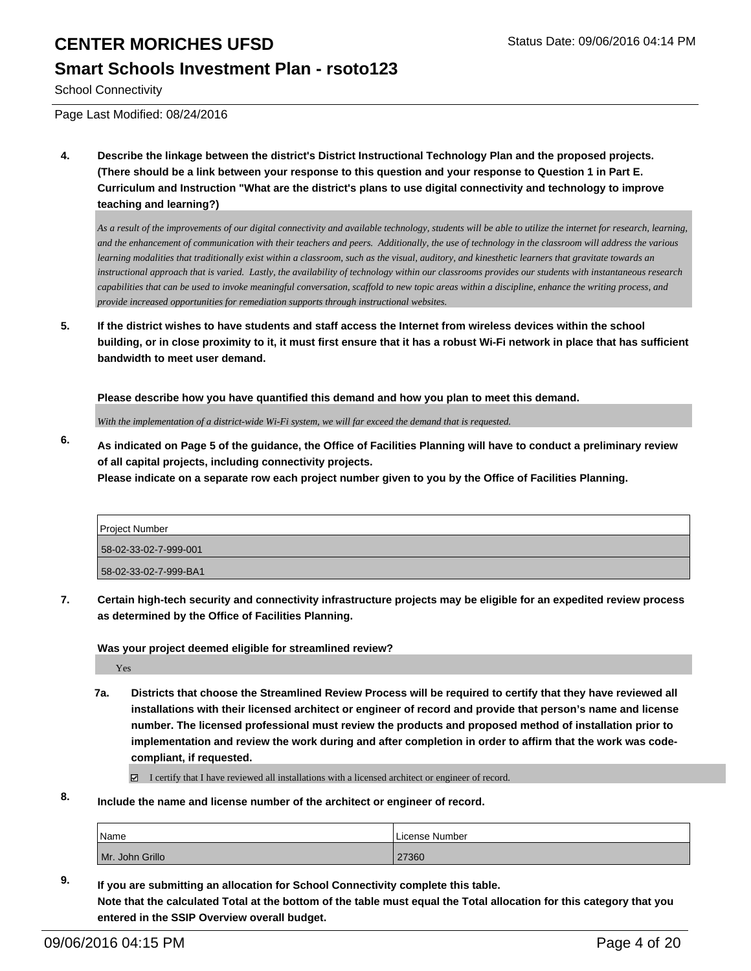#### **Smart Schools Investment Plan - rsoto123**

School Connectivity

Page Last Modified: 08/24/2016

**4. Describe the linkage between the district's District Instructional Technology Plan and the proposed projects. (There should be a link between your response to this question and your response to Question 1 in Part E. Curriculum and Instruction "What are the district's plans to use digital connectivity and technology to improve teaching and learning?)**

*As a result of the improvements of our digital connectivity and available technology, students will be able to utilize the internet for research, learning, and the enhancement of communication with their teachers and peers. Additionally, the use of technology in the classroom will address the various learning modalities that traditionally exist within a classroom, such as the visual, auditory, and kinesthetic learners that gravitate towards an instructional approach that is varied. Lastly, the availability of technology within our classrooms provides our students with instantaneous research capabilities that can be used to invoke meaningful conversation, scaffold to new topic areas within a discipline, enhance the writing process, and provide increased opportunities for remediation supports through instructional websites.*

**5. If the district wishes to have students and staff access the Internet from wireless devices within the school building, or in close proximity to it, it must first ensure that it has a robust Wi-Fi network in place that has sufficient bandwidth to meet user demand.**

**Please describe how you have quantified this demand and how you plan to meet this demand.**

*With the implementation of a district-wide Wi-Fi system, we will far exceed the demand that is requested.*

**6. As indicated on Page 5 of the guidance, the Office of Facilities Planning will have to conduct a preliminary review of all capital projects, including connectivity projects.**

**Please indicate on a separate row each project number given to you by the Office of Facilities Planning.**

| <b>Project Number</b> |  |
|-----------------------|--|
| 58-02-33-02-7-999-001 |  |
| 58-02-33-02-7-999-BA1 |  |

**7. Certain high-tech security and connectivity infrastructure projects may be eligible for an expedited review process as determined by the Office of Facilities Planning.**

**Was your project deemed eligible for streamlined review?**

Yes

**7a. Districts that choose the Streamlined Review Process will be required to certify that they have reviewed all installations with their licensed architect or engineer of record and provide that person's name and license number. The licensed professional must review the products and proposed method of installation prior to implementation and review the work during and after completion in order to affirm that the work was codecompliant, if requested.**

 $\boxtimes$  I certify that I have reviewed all installations with a licensed architect or engineer of record.

**8. Include the name and license number of the architect or engineer of record.**

| Name            | License Number |
|-----------------|----------------|
| Mr. John Grillo | 27360          |

**9. If you are submitting an allocation for School Connectivity complete this table. Note that the calculated Total at the bottom of the table must equal the Total allocation for this category that you entered in the SSIP Overview overall budget.**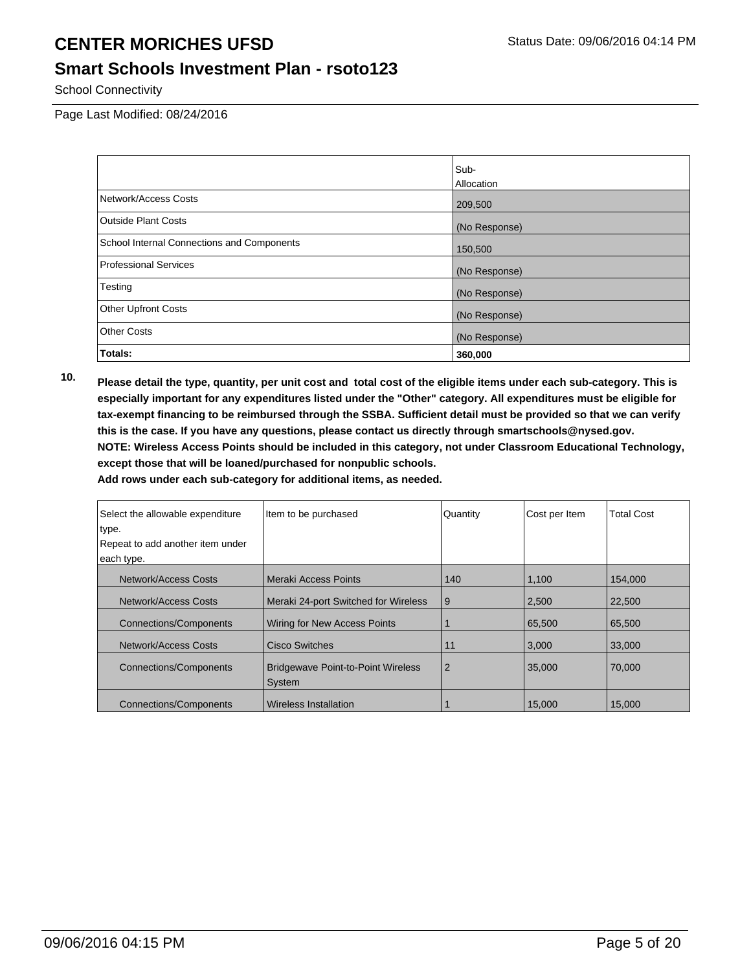#### **Smart Schools Investment Plan - rsoto123**

School Connectivity

Page Last Modified: 08/24/2016

|                                            | Sub-          |
|--------------------------------------------|---------------|
|                                            | Allocation    |
| Network/Access Costs                       | 209,500       |
| <b>Outside Plant Costs</b>                 | (No Response) |
| School Internal Connections and Components | 150,500       |
| <b>Professional Services</b>               | (No Response) |
| Testing                                    | (No Response) |
| <b>Other Upfront Costs</b>                 | (No Response) |
| <b>Other Costs</b>                         | (No Response) |
| Totals:                                    | 360,000       |

**10. Please detail the type, quantity, per unit cost and total cost of the eligible items under each sub-category. This is especially important for any expenditures listed under the "Other" category. All expenditures must be eligible for tax-exempt financing to be reimbursed through the SSBA. Sufficient detail must be provided so that we can verify this is the case. If you have any questions, please contact us directly through smartschools@nysed.gov. NOTE: Wireless Access Points should be included in this category, not under Classroom Educational Technology, except those that will be loaned/purchased for nonpublic schools.**

| Select the allowable expenditure | Item to be purchased                                | Quantity       | Cost per Item | <b>Total Cost</b> |
|----------------------------------|-----------------------------------------------------|----------------|---------------|-------------------|
| type.                            |                                                     |                |               |                   |
| Repeat to add another item under |                                                     |                |               |                   |
| each type.                       |                                                     |                |               |                   |
| Network/Access Costs             | Meraki Access Points                                | 140            | 1,100         | 154,000           |
| Network/Access Costs             | Meraki 24-port Switched for Wireless                | 9              | 2,500         | 22,500            |
| <b>Connections/Components</b>    | Wiring for New Access Points                        |                | 65,500        | 65,500            |
| Network/Access Costs             | Cisco Switches                                      | 11             | 3,000         | 33,000            |
| <b>Connections/Components</b>    | <b>Bridgewave Point-to-Point Wireless</b><br>System | $\overline{2}$ | 35,000        | 70,000            |
| <b>Connections/Components</b>    | <b>Wireless Installation</b>                        |                | 15.000        | 15,000            |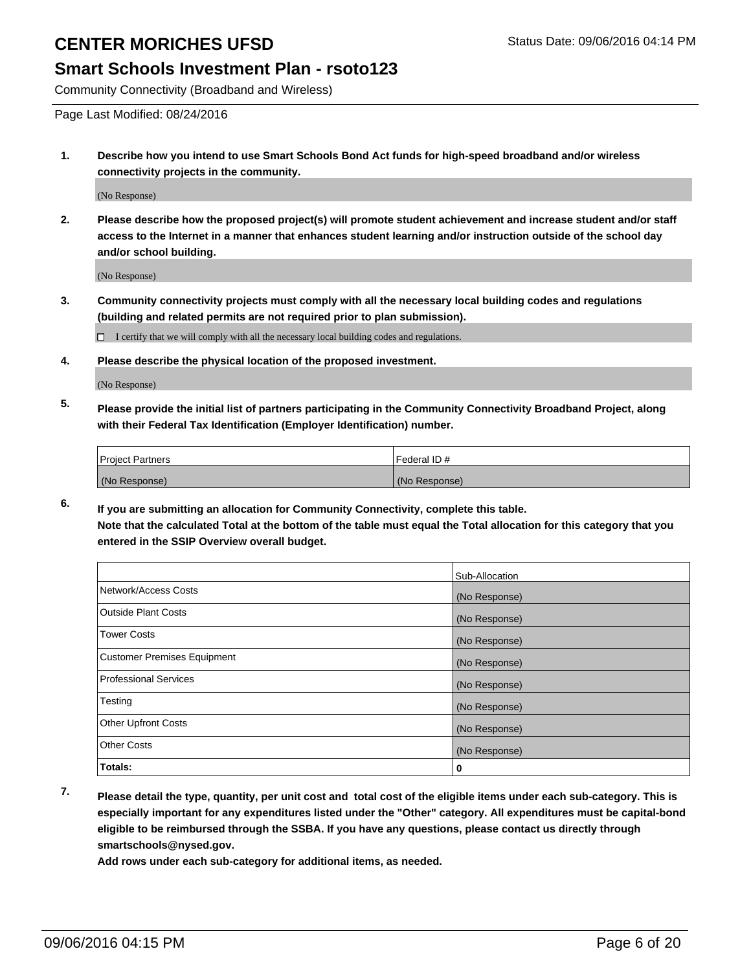#### **Smart Schools Investment Plan - rsoto123**

Community Connectivity (Broadband and Wireless)

Page Last Modified: 08/24/2016

**1. Describe how you intend to use Smart Schools Bond Act funds for high-speed broadband and/or wireless connectivity projects in the community.**

(No Response)

**2. Please describe how the proposed project(s) will promote student achievement and increase student and/or staff access to the Internet in a manner that enhances student learning and/or instruction outside of the school day and/or school building.**

(No Response)

**3. Community connectivity projects must comply with all the necessary local building codes and regulations (building and related permits are not required prior to plan submission).**

 $\Box$  I certify that we will comply with all the necessary local building codes and regulations.

**4. Please describe the physical location of the proposed investment.**

(No Response)

**5. Please provide the initial list of partners participating in the Community Connectivity Broadband Project, along with their Federal Tax Identification (Employer Identification) number.**

| <b>Project Partners</b> | Federal ID#   |
|-------------------------|---------------|
| (No Response)           | (No Response) |

**6. If you are submitting an allocation for Community Connectivity, complete this table. Note that the calculated Total at the bottom of the table must equal the Total allocation for this category that you entered in the SSIP Overview overall budget.**

|                                    | Sub-Allocation |
|------------------------------------|----------------|
| Network/Access Costs               | (No Response)  |
| <b>Outside Plant Costs</b>         | (No Response)  |
| Tower Costs                        | (No Response)  |
| <b>Customer Premises Equipment</b> | (No Response)  |
| <b>Professional Services</b>       | (No Response)  |
| Testing                            | (No Response)  |
| <b>Other Upfront Costs</b>         | (No Response)  |
| <b>Other Costs</b>                 | (No Response)  |
| Totals:                            | 0              |

**7. Please detail the type, quantity, per unit cost and total cost of the eligible items under each sub-category. This is especially important for any expenditures listed under the "Other" category. All expenditures must be capital-bond eligible to be reimbursed through the SSBA. If you have any questions, please contact us directly through smartschools@nysed.gov.**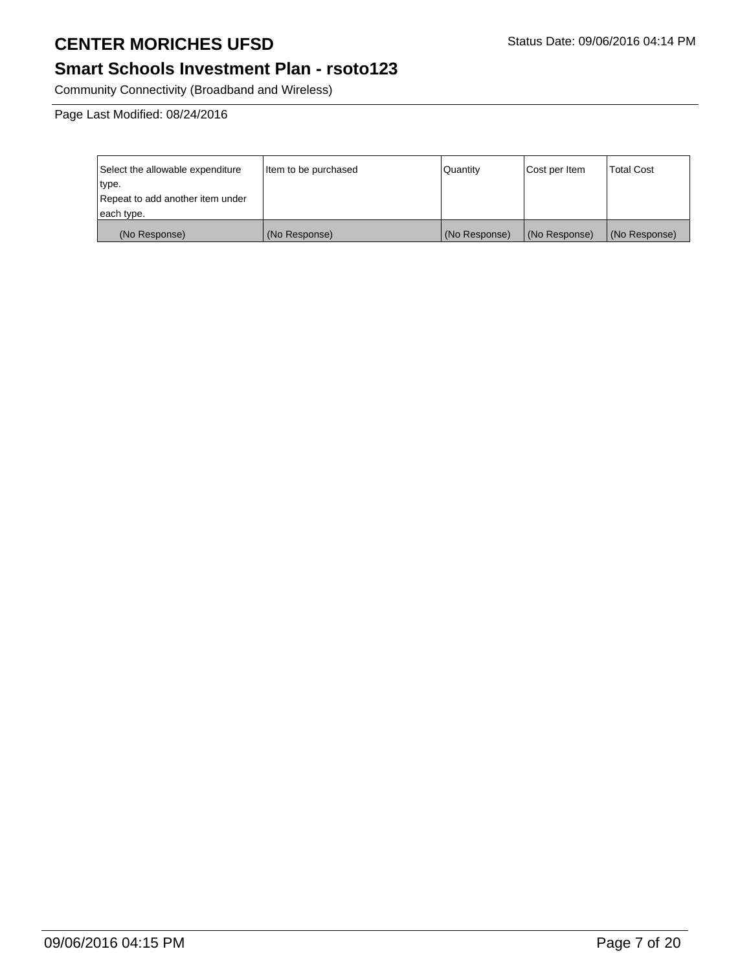## **Smart Schools Investment Plan - rsoto123**

Community Connectivity (Broadband and Wireless)

Page Last Modified: 08/24/2016

| Select the allowable expenditure | Item to be purchased | l Quantitv    | Cost per Item | <b>Total Cost</b> |
|----------------------------------|----------------------|---------------|---------------|-------------------|
| type.                            |                      |               |               |                   |
| Repeat to add another item under |                      |               |               |                   |
| each type.                       |                      |               |               |                   |
| (No Response)                    | (No Response)        | (No Response) | (No Response) | (No Response)     |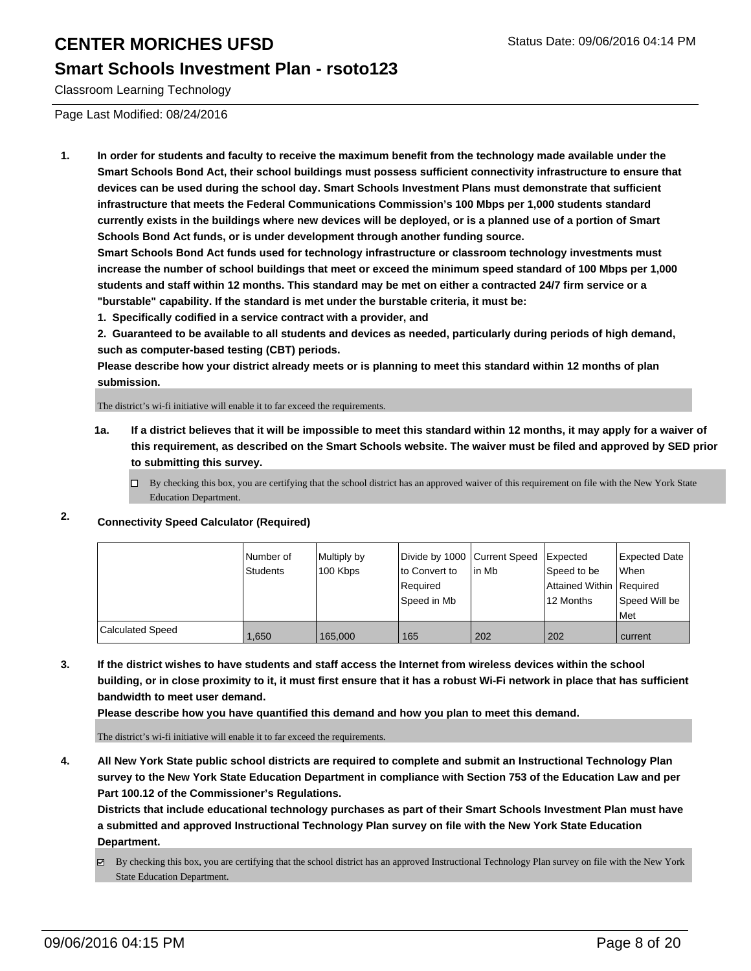#### **Smart Schools Investment Plan - rsoto123**

Classroom Learning Technology

Page Last Modified: 08/24/2016

**1. In order for students and faculty to receive the maximum benefit from the technology made available under the Smart Schools Bond Act, their school buildings must possess sufficient connectivity infrastructure to ensure that devices can be used during the school day. Smart Schools Investment Plans must demonstrate that sufficient infrastructure that meets the Federal Communications Commission's 100 Mbps per 1,000 students standard currently exists in the buildings where new devices will be deployed, or is a planned use of a portion of Smart Schools Bond Act funds, or is under development through another funding source.**

**Smart Schools Bond Act funds used for technology infrastructure or classroom technology investments must increase the number of school buildings that meet or exceed the minimum speed standard of 100 Mbps per 1,000 students and staff within 12 months. This standard may be met on either a contracted 24/7 firm service or a "burstable" capability. If the standard is met under the burstable criteria, it must be:**

**1. Specifically codified in a service contract with a provider, and**

**2. Guaranteed to be available to all students and devices as needed, particularly during periods of high demand, such as computer-based testing (CBT) periods.**

**Please describe how your district already meets or is planning to meet this standard within 12 months of plan submission.**

The district's wi-fi initiative will enable it to far exceed the requirements.

- **1a. If a district believes that it will be impossible to meet this standard within 12 months, it may apply for a waiver of this requirement, as described on the Smart Schools website. The waiver must be filed and approved by SED prior to submitting this survey.**
	- $\Box$  By checking this box, you are certifying that the school district has an approved waiver of this requirement on file with the New York State Education Department.

#### **2. Connectivity Speed Calculator (Required)**

|                         | Number of<br>Students | Multiply by<br>100 Kbps | Divide by 1000 Current Speed<br>lto Convert to<br>Required<br>Speed in Mb | lin Mb | Expected<br>Speed to be<br>Attained Within Required<br>12 Months | Expected Date<br>l When<br>Speed Will be<br>l Met |
|-------------------------|-----------------------|-------------------------|---------------------------------------------------------------------------|--------|------------------------------------------------------------------|---------------------------------------------------|
| <b>Calculated Speed</b> | 1.650                 | 165,000                 | 165                                                                       | 202    | 202                                                              | current                                           |

**3. If the district wishes to have students and staff access the Internet from wireless devices within the school building, or in close proximity to it, it must first ensure that it has a robust Wi-Fi network in place that has sufficient bandwidth to meet user demand.**

**Please describe how you have quantified this demand and how you plan to meet this demand.**

The district's wi-fi initiative will enable it to far exceed the requirements.

**4. All New York State public school districts are required to complete and submit an Instructional Technology Plan survey to the New York State Education Department in compliance with Section 753 of the Education Law and per Part 100.12 of the Commissioner's Regulations.**

**Districts that include educational technology purchases as part of their Smart Schools Investment Plan must have a submitted and approved Instructional Technology Plan survey on file with the New York State Education Department.**

By checking this box, you are certifying that the school district has an approved Instructional Technology Plan survey on file with the New York State Education Department.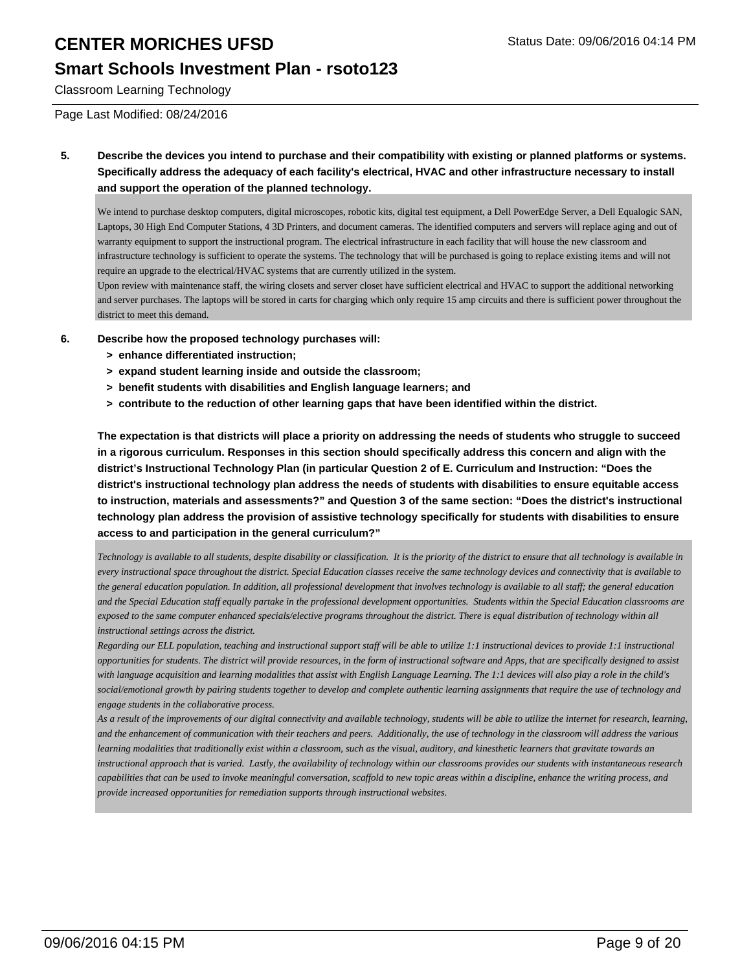#### **Smart Schools Investment Plan - rsoto123**

Classroom Learning Technology

Page Last Modified: 08/24/2016

**5. Describe the devices you intend to purchase and their compatibility with existing or planned platforms or systems. Specifically address the adequacy of each facility's electrical, HVAC and other infrastructure necessary to install and support the operation of the planned technology.**

We intend to purchase desktop computers, digital microscopes, robotic kits, digital test equipment, a Dell PowerEdge Server, a Dell Equalogic SAN, Laptops, 30 High End Computer Stations, 4 3D Printers, and document cameras. The identified computers and servers will replace aging and out of warranty equipment to support the instructional program. The electrical infrastructure in each facility that will house the new classroom and infrastructure technology is sufficient to operate the systems. The technology that will be purchased is going to replace existing items and will not require an upgrade to the electrical/HVAC systems that are currently utilized in the system.

Upon review with maintenance staff, the wiring closets and server closet have sufficient electrical and HVAC to support the additional networking and server purchases. The laptops will be stored in carts for charging which only require 15 amp circuits and there is sufficient power throughout the district to meet this demand.

- **6. Describe how the proposed technology purchases will:**
	- **> enhance differentiated instruction;**
	- **> expand student learning inside and outside the classroom;**
	- **> benefit students with disabilities and English language learners; and**
	- **> contribute to the reduction of other learning gaps that have been identified within the district.**

**The expectation is that districts will place a priority on addressing the needs of students who struggle to succeed in a rigorous curriculum. Responses in this section should specifically address this concern and align with the district's Instructional Technology Plan (in particular Question 2 of E. Curriculum and Instruction: "Does the district's instructional technology plan address the needs of students with disabilities to ensure equitable access to instruction, materials and assessments?" and Question 3 of the same section: "Does the district's instructional technology plan address the provision of assistive technology specifically for students with disabilities to ensure access to and participation in the general curriculum?"**

*Technology is available to all students, despite disability or classification. It is the priority of the district to ensure that all technology is available in every instructional space throughout the district. Special Education classes receive the same technology devices and connectivity that is available to the general education population. In addition, all professional development that involves technology is available to all staff; the general education and the Special Education staff equally partake in the professional development opportunities. Students within the Special Education classrooms are exposed to the same computer enhanced specials/elective programs throughout the district. There is equal distribution of technology within all instructional settings across the district.* 

*Regarding our ELL population, teaching and instructional support staff will be able to utilize 1:1 instructional devices to provide 1:1 instructional opportunities for students. The district will provide resources, in the form of instructional software and Apps, that are specifically designed to assist with language acquisition and learning modalities that assist with English Language Learning. The 1:1 devices will also play a role in the child's social/emotional growth by pairing students together to develop and complete authentic learning assignments that require the use of technology and engage students in the collaborative process.*

*As a result of the improvements of our digital connectivity and available technology, students will be able to utilize the internet for research, learning, and the enhancement of communication with their teachers and peers. Additionally, the use of technology in the classroom will address the various learning modalities that traditionally exist within a classroom, such as the visual, auditory, and kinesthetic learners that gravitate towards an instructional approach that is varied. Lastly, the availability of technology within our classrooms provides our students with instantaneous research capabilities that can be used to invoke meaningful conversation, scaffold to new topic areas within a discipline, enhance the writing process, and provide increased opportunities for remediation supports through instructional websites.*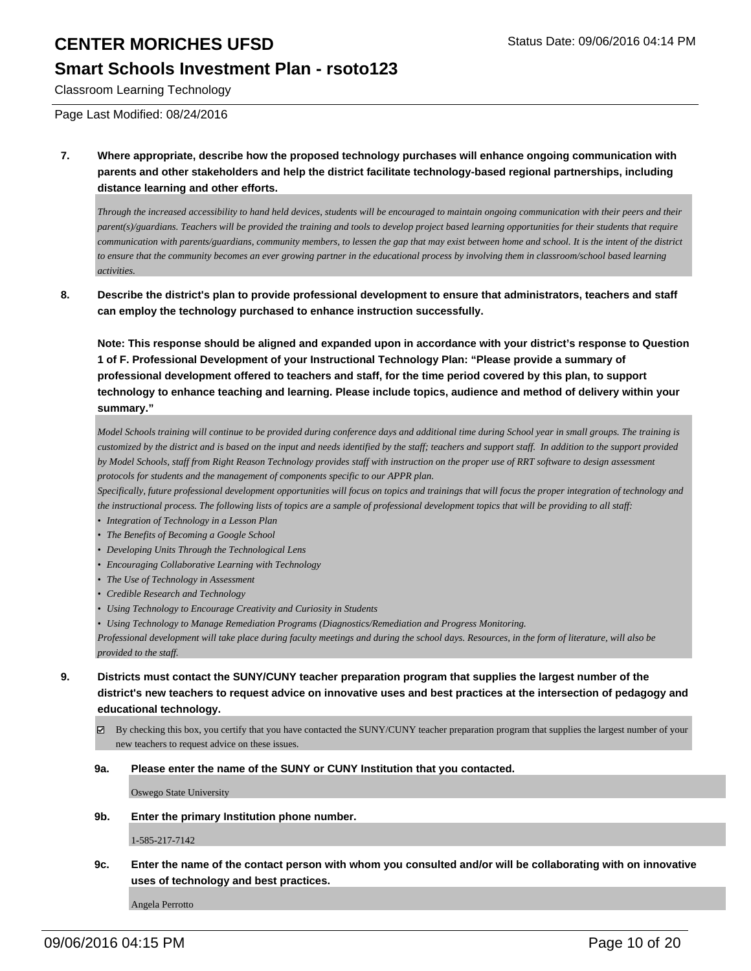#### **Smart Schools Investment Plan - rsoto123**

Classroom Learning Technology

Page Last Modified: 08/24/2016

**7. Where appropriate, describe how the proposed technology purchases will enhance ongoing communication with parents and other stakeholders and help the district facilitate technology-based regional partnerships, including distance learning and other efforts.**

*Through the increased accessibility to hand held devices, students will be encouraged to maintain ongoing communication with their peers and their parent(s)/guardians. Teachers will be provided the training and tools to develop project based learning opportunities for their students that require communication with parents/guardians, community members, to lessen the gap that may exist between home and school. It is the intent of the district to ensure that the community becomes an ever growing partner in the educational process by involving them in classroom/school based learning activities.* 

**8. Describe the district's plan to provide professional development to ensure that administrators, teachers and staff can employ the technology purchased to enhance instruction successfully.**

**Note: This response should be aligned and expanded upon in accordance with your district's response to Question 1 of F. Professional Development of your Instructional Technology Plan: "Please provide a summary of professional development offered to teachers and staff, for the time period covered by this plan, to support technology to enhance teaching and learning. Please include topics, audience and method of delivery within your summary."**

*Model Schools training will continue to be provided during conference days and additional time during School year in small groups. The training is customized by the district and is based on the input and needs identified by the staff; teachers and support staff. In addition to the support provided by Model Schools, staff from Right Reason Technology provides staff with instruction on the proper use of RRT software to design assessment protocols for students and the management of components specific to our APPR plan.*

*Specifically, future professional development opportunities will focus on topics and trainings that will focus the proper integration of technology and the instructional process. The following lists of topics are a sample of professional development topics that will be providing to all staff:*

- *• Integration of Technology in a Lesson Plan*
- *• The Benefits of Becoming a Google School*
- *• Developing Units Through the Technological Lens*
- *• Encouraging Collaborative Learning with Technology*
- *• The Use of Technology in Assessment*
- *• Credible Research and Technology*
- *• Using Technology to Encourage Creativity and Curiosity in Students*

*• Using Technology to Manage Remediation Programs (Diagnostics/Remediation and Progress Monitoring.*

*Professional development will take place during faculty meetings and during the school days. Resources, in the form of literature, will also be provided to the staff.*

- **9. Districts must contact the SUNY/CUNY teacher preparation program that supplies the largest number of the district's new teachers to request advice on innovative uses and best practices at the intersection of pedagogy and educational technology.**
	- By checking this box, you certify that you have contacted the SUNY/CUNY teacher preparation program that supplies the largest number of your new teachers to request advice on these issues.
	- **9a. Please enter the name of the SUNY or CUNY Institution that you contacted.**

Oswego State University

**9b. Enter the primary Institution phone number.**

1-585-217-7142

**9c. Enter the name of the contact person with whom you consulted and/or will be collaborating with on innovative uses of technology and best practices.**

Angela Perrotto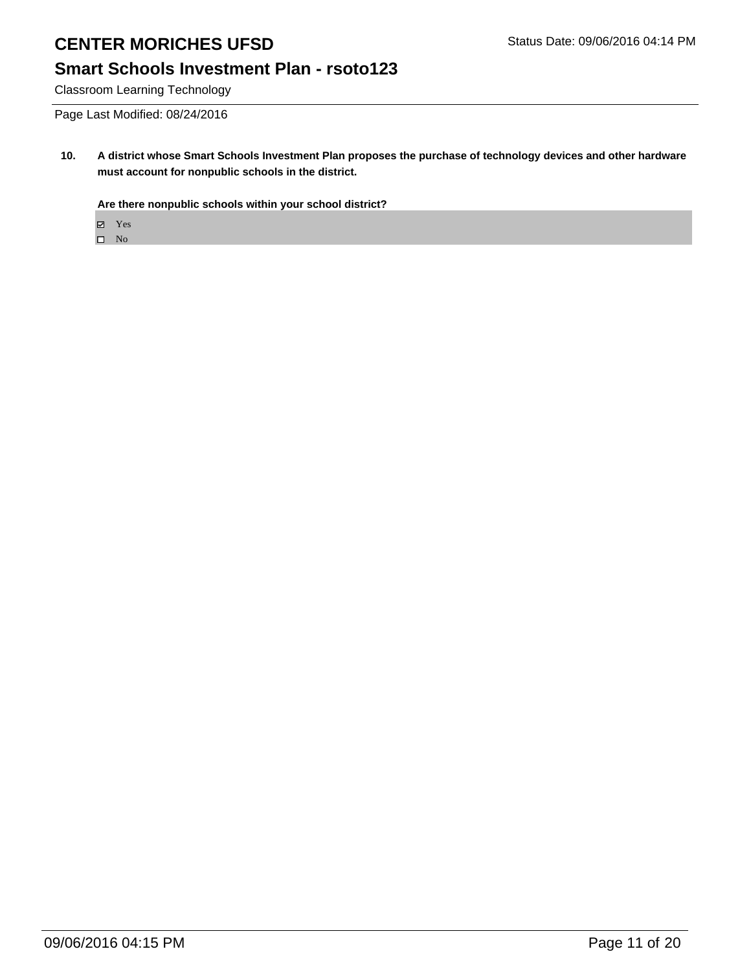### **Smart Schools Investment Plan - rsoto123**

Classroom Learning Technology

Page Last Modified: 08/24/2016

**10. A district whose Smart Schools Investment Plan proposes the purchase of technology devices and other hardware must account for nonpublic schools in the district.**

**Are there nonpublic schools within your school district?**

Yes

 $\hfill \square$  No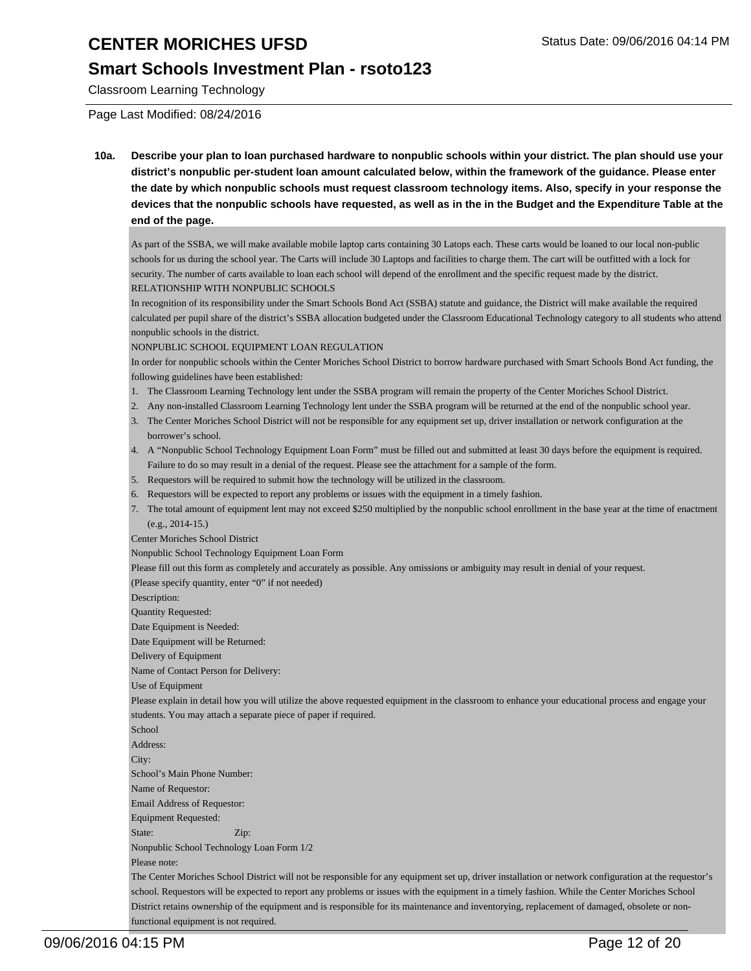#### **Smart Schools Investment Plan - rsoto123**

Classroom Learning Technology

Page Last Modified: 08/24/2016

**10a. Describe your plan to loan purchased hardware to nonpublic schools within your district. The plan should use your district's nonpublic per-student loan amount calculated below, within the framework of the guidance. Please enter the date by which nonpublic schools must request classroom technology items. Also, specify in your response the devices that the nonpublic schools have requested, as well as in the in the Budget and the Expenditure Table at the end of the page.**

As part of the SSBA, we will make available mobile laptop carts containing 30 Latops each. These carts would be loaned to our local non-public schools for us during the school year. The Carts will include 30 Laptops and facilities to charge them. The cart will be outfitted with a lock for security. The number of carts available to loan each school will depend of the enrollment and the specific request made by the district. RELATIONSHIP WITH NONPUBLIC SCHOOLS

In recognition of its responsibility under the Smart Schools Bond Act (SSBA) statute and guidance, the District will make available the required calculated per pupil share of the district's SSBA allocation budgeted under the Classroom Educational Technology category to all students who attend nonpublic schools in the district.

NONPUBLIC SCHOOL EQUIPMENT LOAN REGULATION

In order for nonpublic schools within the Center Moriches School District to borrow hardware purchased with Smart Schools Bond Act funding, the following guidelines have been established:

- 1. The Classroom Learning Technology lent under the SSBA program will remain the property of the Center Moriches School District.
- 2. Any non-installed Classroom Learning Technology lent under the SSBA program will be returned at the end of the nonpublic school year.
- 3. The Center Moriches School District will not be responsible for any equipment set up, driver installation or network configuration at the borrower's school.
- A "Nonpublic School Technology Equipment Loan Form" must be filled out and submitted at least 30 days before the equipment is required. 4. Failure to do so may result in a denial of the request. Please see the attachment for a sample of the form.
- 5. Requestors will be required to submit how the technology will be utilized in the classroom.
- 6. Requestors will be expected to report any problems or issues with the equipment in a timely fashion.
- 7. The total amount of equipment lent may not exceed \$250 multiplied by the nonpublic school enrollment in the base year at the time of enactment (e.g., 2014-15.)

Center Moriches School District

functional equipment is not required.

Nonpublic School Technology Equipment Loan Form

Please fill out this form as completely and accurately as possible. Any omissions or ambiguity may result in denial of your request. (Please specify quantity, enter "0" if not needed)

Description:

Quantity Requested: Date Equipment is Needed: Date Equipment will be Returned: Delivery of Equipment Name of Contact Person for Delivery: Use of Equipment Please explain in detail how you will utilize the above requested equipment in the classroom to enhance your educational process and engage your students. You may attach a separate piece of paper if required. School Address: City: School's Main Phone Number: Name of Requestor: Email Address of Requestor: Equipment Requested: State: **Zip: Zip:** Nonpublic School Technology Loan Form 1/2 Please note: The Center Moriches School District will not be responsible for any equipment set up, driver installation or network configuration at the requestor's school. Requestors will be expected to report any problems or issues with the equipment in a timely fashion. While the Center Moriches School District retains ownership of the equipment and is responsible for its maintenance and inventorying, replacement of damaged, obsolete or non-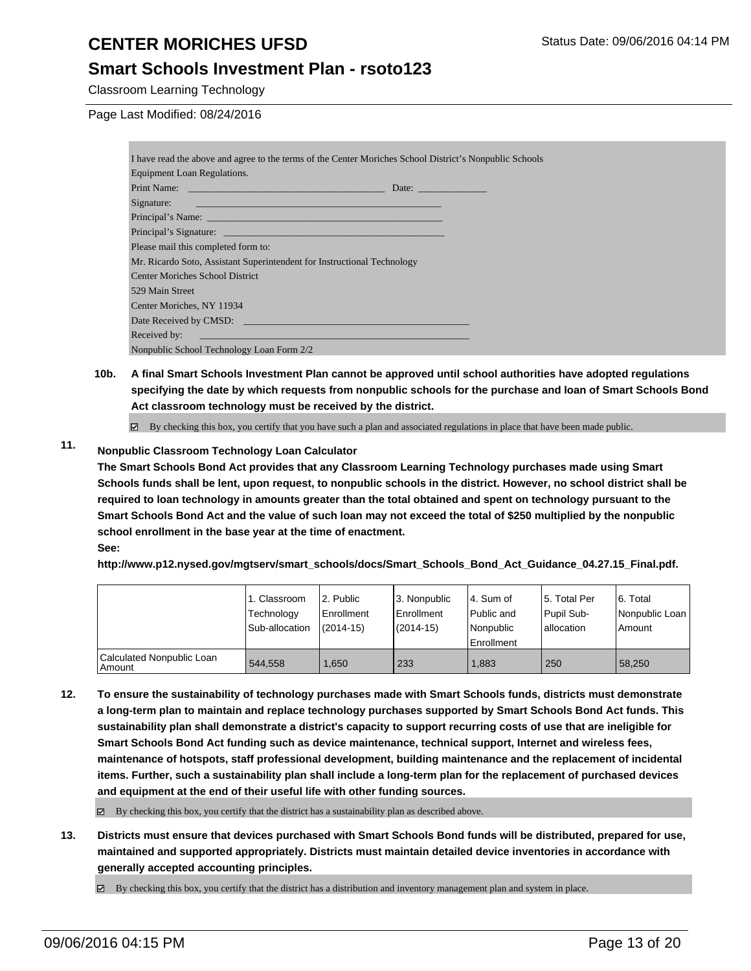#### **Smart Schools Investment Plan - rsoto123**

Classroom Learning Technology

Page Last Modified: 08/24/2016

| I have read the above and agree to the terms of the Center Moriches School District's Nonpublic Schools                                                                                                                        |                                      |
|--------------------------------------------------------------------------------------------------------------------------------------------------------------------------------------------------------------------------------|--------------------------------------|
| Equipment Loan Regulations.                                                                                                                                                                                                    |                                      |
|                                                                                                                                                                                                                                | Date: <u>_______________________</u> |
|                                                                                                                                                                                                                                |                                      |
|                                                                                                                                                                                                                                |                                      |
|                                                                                                                                                                                                                                |                                      |
| Please mail this completed form to:                                                                                                                                                                                            |                                      |
| Mr. Ricardo Soto, Assistant Superintendent for Instructional Technology                                                                                                                                                        |                                      |
| <b>Center Moriches School District</b>                                                                                                                                                                                         |                                      |
| 529 Main Street                                                                                                                                                                                                                |                                      |
| Center Moriches, NY 11934                                                                                                                                                                                                      |                                      |
|                                                                                                                                                                                                                                |                                      |
| Received by: The Contract of the Contract of the Contract of the Contract of the Contract of the Contract of the Contract of the Contract of the Contract of the Contract of the Contract of the Contract of the Contract of t |                                      |
| Nonpublic School Technology Loan Form 2/2                                                                                                                                                                                      |                                      |

**10b. A final Smart Schools Investment Plan cannot be approved until school authorities have adopted regulations specifying the date by which requests from nonpublic schools for the purchase and loan of Smart Schools Bond Act classroom technology must be received by the district.**

 $\boxtimes$  By checking this box, you certify that you have such a plan and associated regulations in place that have been made public.

#### **11. Nonpublic Classroom Technology Loan Calculator**

**The Smart Schools Bond Act provides that any Classroom Learning Technology purchases made using Smart Schools funds shall be lent, upon request, to nonpublic schools in the district. However, no school district shall be required to loan technology in amounts greater than the total obtained and spent on technology pursuant to the Smart Schools Bond Act and the value of such loan may not exceed the total of \$250 multiplied by the nonpublic school enrollment in the base year at the time of enactment. See:**

**http://www.p12.nysed.gov/mgtserv/smart\_schools/docs/Smart\_Schools\_Bond\_Act\_Guidance\_04.27.15\_Final.pdf.**

|                                     | 1. Classroom<br>Technology<br>Sub-allocation | 2. Public<br>Enrollment<br>$(2014-15)$ | 3. Nonpublic<br><b>Enrollment</b><br>$(2014 - 15)$ | l 4. Sum of<br>l Public and<br>l Nonpublic<br>Enrollment | 15. Total Per<br>Pupil Sub-<br>allocation | 6. Total<br>Nonpublic Loan<br>Amount |
|-------------------------------------|----------------------------------------------|----------------------------------------|----------------------------------------------------|----------------------------------------------------------|-------------------------------------------|--------------------------------------|
| Calculated Nonpublic Loan<br>Amount | 544.558                                      | .650                                   | 233                                                | 1.883                                                    | 250                                       | 58.250                               |

**12. To ensure the sustainability of technology purchases made with Smart Schools funds, districts must demonstrate a long-term plan to maintain and replace technology purchases supported by Smart Schools Bond Act funds. This sustainability plan shall demonstrate a district's capacity to support recurring costs of use that are ineligible for Smart Schools Bond Act funding such as device maintenance, technical support, Internet and wireless fees, maintenance of hotspots, staff professional development, building maintenance and the replacement of incidental items. Further, such a sustainability plan shall include a long-term plan for the replacement of purchased devices and equipment at the end of their useful life with other funding sources.**

By checking this box, you certify that the district has a sustainability plan as described above.

**13. Districts must ensure that devices purchased with Smart Schools Bond funds will be distributed, prepared for use, maintained and supported appropriately. Districts must maintain detailed device inventories in accordance with generally accepted accounting principles.**

By checking this box, you certify that the district has a distribution and inventory management plan and system in place.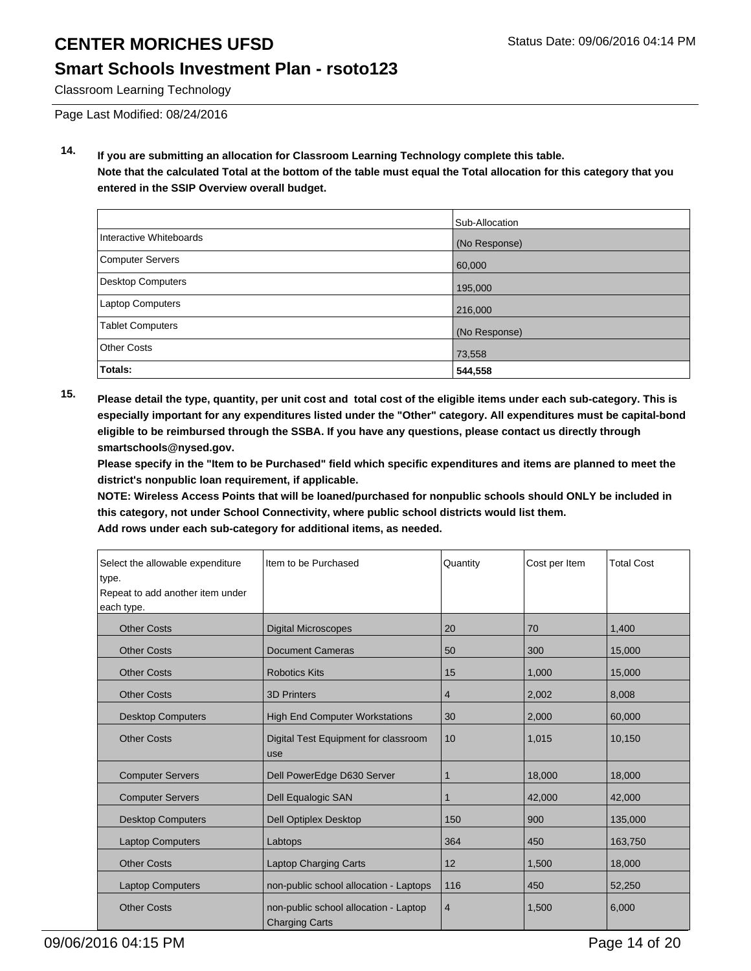### **Smart Schools Investment Plan - rsoto123**

Classroom Learning Technology

Page Last Modified: 08/24/2016

**14. If you are submitting an allocation for Classroom Learning Technology complete this table. Note that the calculated Total at the bottom of the table must equal the Total allocation for this category that you entered in the SSIP Overview overall budget.**

|                          | Sub-Allocation |
|--------------------------|----------------|
| Interactive Whiteboards  | (No Response)  |
| Computer Servers         | 60,000         |
| <b>Desktop Computers</b> | 195,000        |
| Laptop Computers         | 216,000        |
| <b>Tablet Computers</b>  | (No Response)  |
| <b>Other Costs</b>       | 73,558         |
| Totals:                  | 544,558        |

**15. Please detail the type, quantity, per unit cost and total cost of the eligible items under each sub-category. This is especially important for any expenditures listed under the "Other" category. All expenditures must be capital-bond eligible to be reimbursed through the SSBA. If you have any questions, please contact us directly through smartschools@nysed.gov.**

**Please specify in the "Item to be Purchased" field which specific expenditures and items are planned to meet the district's nonpublic loan requirement, if applicable.**

**NOTE: Wireless Access Points that will be loaned/purchased for nonpublic schools should ONLY be included in this category, not under School Connectivity, where public school districts would list them.**

| Select the allowable expenditure<br>type.<br>Repeat to add another item under<br>each type. | Item to be Purchased                                           | Quantity | Cost per Item | <b>Total Cost</b> |
|---------------------------------------------------------------------------------------------|----------------------------------------------------------------|----------|---------------|-------------------|
|                                                                                             |                                                                |          |               |                   |
| <b>Other Costs</b>                                                                          | <b>Digital Microscopes</b>                                     | 20       | 70            | 1,400             |
| <b>Other Costs</b>                                                                          | <b>Document Cameras</b>                                        | 50       | 300           | 15,000            |
| <b>Other Costs</b>                                                                          | <b>Robotics Kits</b>                                           | 15       | 1,000         | 15,000            |
| <b>Other Costs</b>                                                                          | <b>3D Printers</b>                                             | 4        | 2,002         | 8,008             |
| <b>Desktop Computers</b>                                                                    | High End Computer Workstations                                 | 30       | 2,000         | 60,000            |
| <b>Other Costs</b>                                                                          | Digital Test Equipment for classroom<br>use                    | 10       | 1,015         | 10,150            |
| <b>Computer Servers</b>                                                                     | Dell PowerEdge D630 Server                                     | 1        | 18,000        | 18,000            |
| <b>Computer Servers</b>                                                                     | Dell Equalogic SAN                                             | 1        | 42,000        | 42,000            |
| <b>Desktop Computers</b>                                                                    | <b>Dell Optiplex Desktop</b>                                   | 150      | 900           | 135,000           |
| <b>Laptop Computers</b>                                                                     | Labtops                                                        | 364      | 450           | 163,750           |
| <b>Other Costs</b>                                                                          | Laptop Charging Carts                                          | 12       | 1,500         | 18,000            |
| <b>Laptop Computers</b>                                                                     | non-public school allocation - Laptops                         | 116      | 450           | 52,250            |
| <b>Other Costs</b>                                                                          | non-public school allocation - Laptop<br><b>Charging Carts</b> | 4        | 1,500         | 6,000             |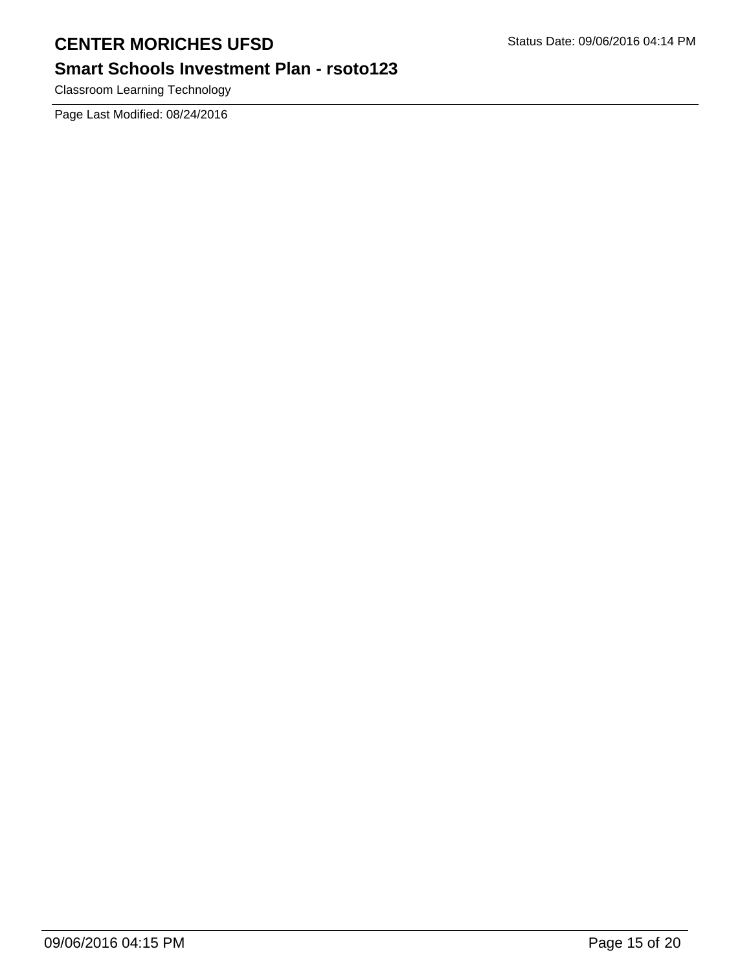# **Smart Schools Investment Plan - rsoto123**

Classroom Learning Technology

Page Last Modified: 08/24/2016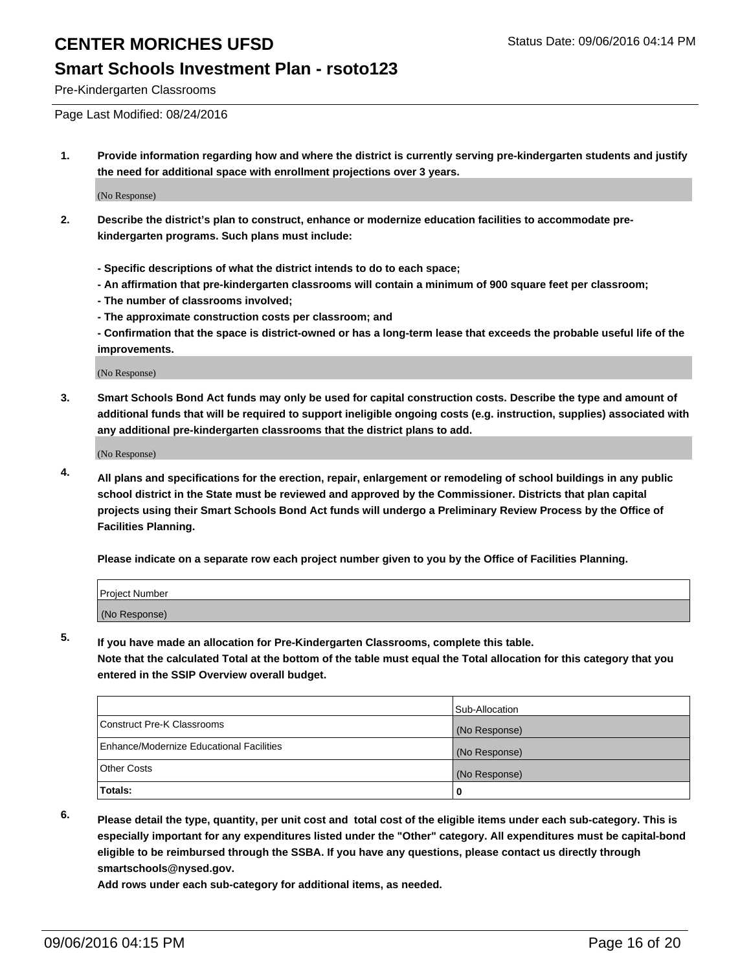#### **Smart Schools Investment Plan - rsoto123**

Pre-Kindergarten Classrooms

Page Last Modified: 08/24/2016

**1. Provide information regarding how and where the district is currently serving pre-kindergarten students and justify the need for additional space with enrollment projections over 3 years.**

(No Response)

- **2. Describe the district's plan to construct, enhance or modernize education facilities to accommodate prekindergarten programs. Such plans must include:**
	- **Specific descriptions of what the district intends to do to each space;**
	- **An affirmation that pre-kindergarten classrooms will contain a minimum of 900 square feet per classroom;**
	- **The number of classrooms involved;**
	- **The approximate construction costs per classroom; and**
	- **Confirmation that the space is district-owned or has a long-term lease that exceeds the probable useful life of the improvements.**

(No Response)

**3. Smart Schools Bond Act funds may only be used for capital construction costs. Describe the type and amount of additional funds that will be required to support ineligible ongoing costs (e.g. instruction, supplies) associated with any additional pre-kindergarten classrooms that the district plans to add.**

(No Response)

**4. All plans and specifications for the erection, repair, enlargement or remodeling of school buildings in any public school district in the State must be reviewed and approved by the Commissioner. Districts that plan capital projects using their Smart Schools Bond Act funds will undergo a Preliminary Review Process by the Office of Facilities Planning.**

**Please indicate on a separate row each project number given to you by the Office of Facilities Planning.**

| Project Number |  |  |
|----------------|--|--|
| (No Response)  |  |  |

**5. If you have made an allocation for Pre-Kindergarten Classrooms, complete this table.**

**Note that the calculated Total at the bottom of the table must equal the Total allocation for this category that you entered in the SSIP Overview overall budget.**

|                                          | Sub-Allocation |
|------------------------------------------|----------------|
| Construct Pre-K Classrooms               | (No Response)  |
| Enhance/Modernize Educational Facilities | (No Response)  |
| Other Costs                              | (No Response)  |
| <b>Totals:</b>                           |                |

- 
- **6. Please detail the type, quantity, per unit cost and total cost of the eligible items under each sub-category. This is especially important for any expenditures listed under the "Other" category. All expenditures must be capital-bond eligible to be reimbursed through the SSBA. If you have any questions, please contact us directly through smartschools@nysed.gov.**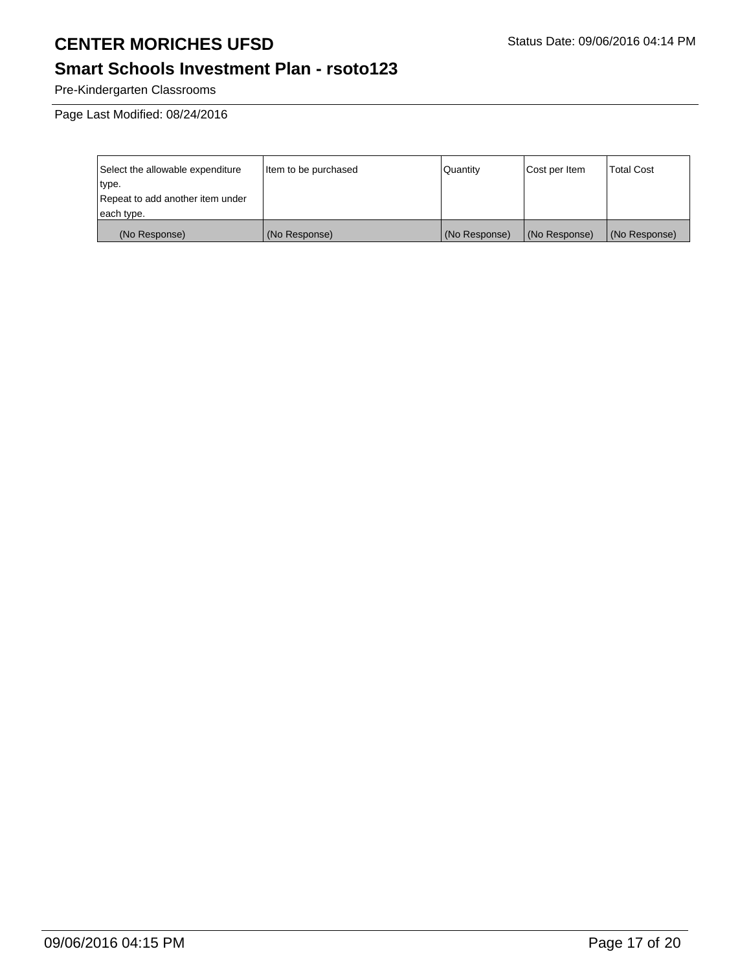# **Smart Schools Investment Plan - rsoto123**

Pre-Kindergarten Classrooms

Page Last Modified: 08/24/2016

| Select the allowable expenditure | Item to be purchased | Quantity      | Cost per Item | <b>Total Cost</b> |
|----------------------------------|----------------------|---------------|---------------|-------------------|
| type.                            |                      |               |               |                   |
| Repeat to add another item under |                      |               |               |                   |
| each type.                       |                      |               |               |                   |
| (No Response)                    | (No Response)        | (No Response) | (No Response) | (No Response)     |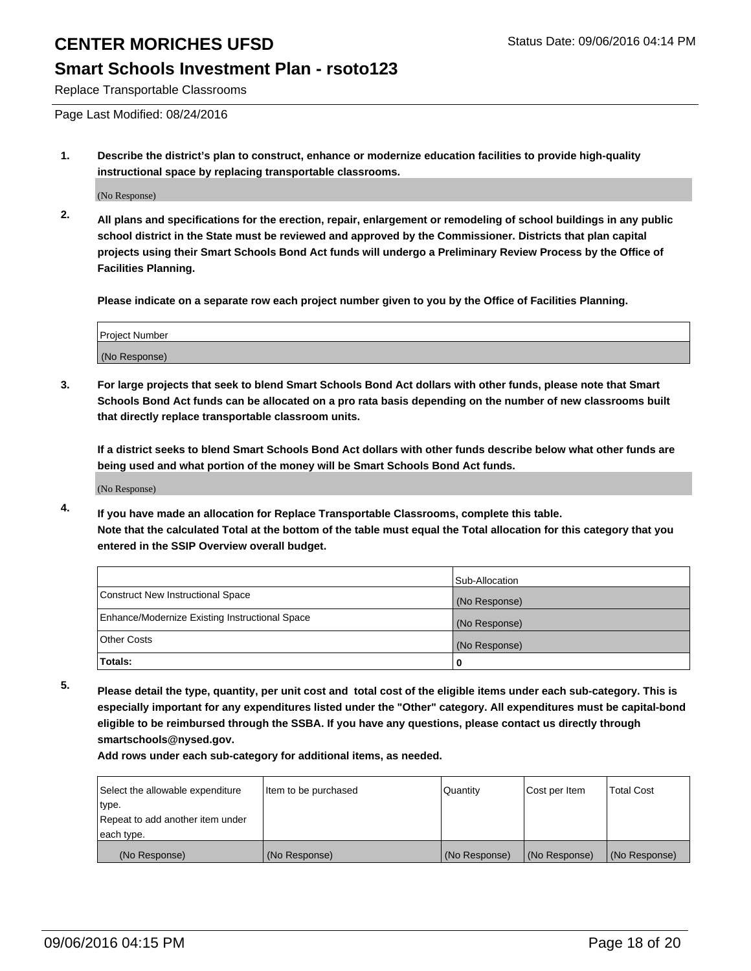#### **Smart Schools Investment Plan - rsoto123**

Replace Transportable Classrooms

Page Last Modified: 08/24/2016

**1. Describe the district's plan to construct, enhance or modernize education facilities to provide high-quality instructional space by replacing transportable classrooms.**

(No Response)

**2. All plans and specifications for the erection, repair, enlargement or remodeling of school buildings in any public school district in the State must be reviewed and approved by the Commissioner. Districts that plan capital projects using their Smart Schools Bond Act funds will undergo a Preliminary Review Process by the Office of Facilities Planning.**

**Please indicate on a separate row each project number given to you by the Office of Facilities Planning.**

| Project Number |  |
|----------------|--|
| (No Response)  |  |

**3. For large projects that seek to blend Smart Schools Bond Act dollars with other funds, please note that Smart Schools Bond Act funds can be allocated on a pro rata basis depending on the number of new classrooms built that directly replace transportable classroom units.**

**If a district seeks to blend Smart Schools Bond Act dollars with other funds describe below what other funds are being used and what portion of the money will be Smart Schools Bond Act funds.**

(No Response)

**4. If you have made an allocation for Replace Transportable Classrooms, complete this table. Note that the calculated Total at the bottom of the table must equal the Total allocation for this category that you entered in the SSIP Overview overall budget.**

|                                                | Sub-Allocation |
|------------------------------------------------|----------------|
| Construct New Instructional Space              | (No Response)  |
| Enhance/Modernize Existing Instructional Space | (No Response)  |
| Other Costs                                    | (No Response)  |
| Totals:                                        | 0              |

**5. Please detail the type, quantity, per unit cost and total cost of the eligible items under each sub-category. This is especially important for any expenditures listed under the "Other" category. All expenditures must be capital-bond eligible to be reimbursed through the SSBA. If you have any questions, please contact us directly through smartschools@nysed.gov.**

| Select the allowable expenditure | Item to be purchased | Quantity      | Cost per Item | <b>Total Cost</b> |
|----------------------------------|----------------------|---------------|---------------|-------------------|
| type.                            |                      |               |               |                   |
| Repeat to add another item under |                      |               |               |                   |
| each type.                       |                      |               |               |                   |
| (No Response)                    | (No Response)        | (No Response) | (No Response) | (No Response)     |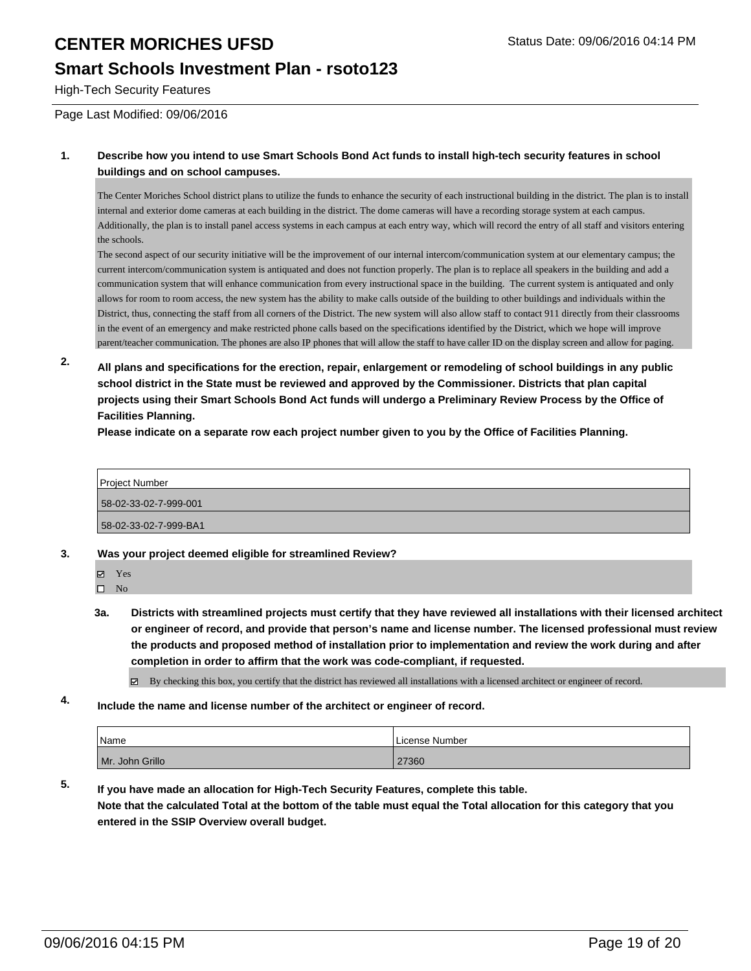### **Smart Schools Investment Plan - rsoto123**

High-Tech Security Features

Page Last Modified: 09/06/2016

#### **1. Describe how you intend to use Smart Schools Bond Act funds to install high-tech security features in school buildings and on school campuses.**

The Center Moriches School district plans to utilize the funds to enhance the security of each instructional building in the district. The plan is to install internal and exterior dome cameras at each building in the district. The dome cameras will have a recording storage system at each campus. Additionally, the plan is to install panel access systems in each campus at each entry way, which will record the entry of all staff and visitors entering the schools.

The second aspect of our security initiative will be the improvement of our internal intercom/communication system at our elementary campus; the current intercom/communication system is antiquated and does not function properly. The plan is to replace all speakers in the building and add a communication system that will enhance communication from every instructional space in the building. The current system is antiquated and only allows for room to room access, the new system has the ability to make calls outside of the building to other buildings and individuals within the District, thus, connecting the staff from all corners of the District. The new system will also allow staff to contact 911 directly from their classrooms in the event of an emergency and make restricted phone calls based on the specifications identified by the District, which we hope will improve parent/teacher communication. The phones are also IP phones that will allow the staff to have caller ID on the display screen and allow for paging.

**2. All plans and specifications for the erection, repair, enlargement or remodeling of school buildings in any public school district in the State must be reviewed and approved by the Commissioner. Districts that plan capital projects using their Smart Schools Bond Act funds will undergo a Preliminary Review Process by the Office of Facilities Planning.** 

**Please indicate on a separate row each project number given to you by the Office of Facilities Planning.**



**3. Was your project deemed eligible for streamlined Review?**

Yes

 $\hfill \square$  No

**3a. Districts with streamlined projects must certify that they have reviewed all installations with their licensed architect or engineer of record, and provide that person's name and license number. The licensed professional must review the products and proposed method of installation prior to implementation and review the work during and after completion in order to affirm that the work was code-compliant, if requested.**

By checking this box, you certify that the district has reviewed all installations with a licensed architect or engineer of record.

**4. Include the name and license number of the architect or engineer of record.**

| Name            | License Number |
|-----------------|----------------|
| Mr. John Grillo | 27360          |

**5. If you have made an allocation for High-Tech Security Features, complete this table. Note that the calculated Total at the bottom of the table must equal the Total allocation for this category that you entered in the SSIP Overview overall budget.**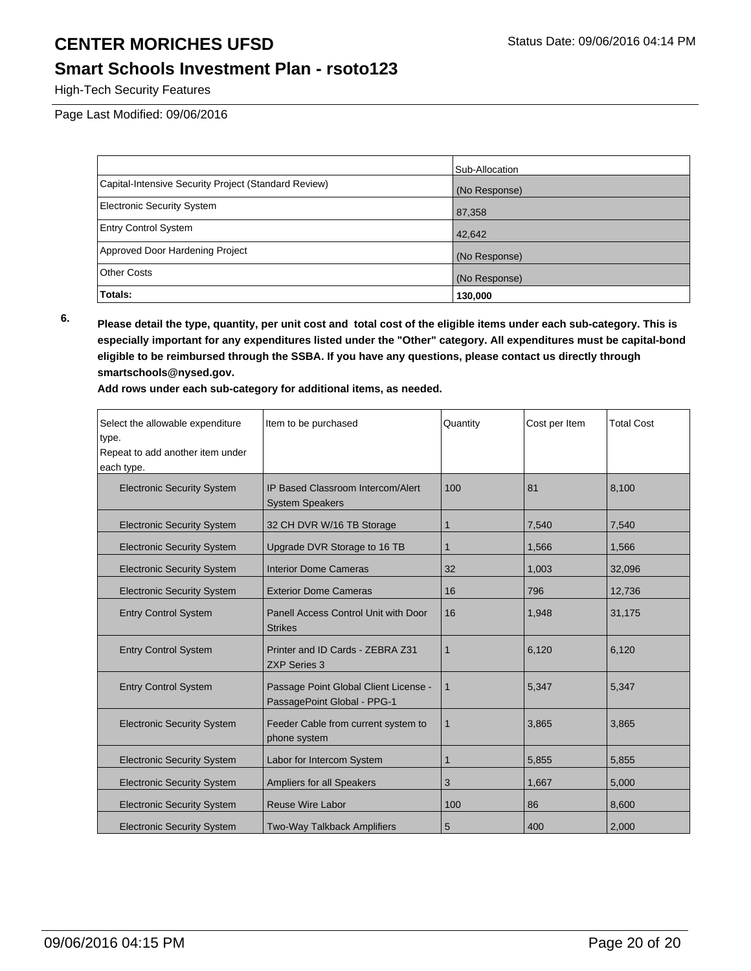#### **Smart Schools Investment Plan - rsoto123**

High-Tech Security Features

Page Last Modified: 09/06/2016

|                                                      | Sub-Allocation |
|------------------------------------------------------|----------------|
| Capital-Intensive Security Project (Standard Review) | (No Response)  |
| <b>Electronic Security System</b>                    | 87,358         |
| <b>Entry Control System</b>                          | 42,642         |
| Approved Door Hardening Project                      | (No Response)  |
| <b>Other Costs</b>                                   | (No Response)  |
| Totals:                                              | 130,000        |

**6. Please detail the type, quantity, per unit cost and total cost of the eligible items under each sub-category. This is especially important for any expenditures listed under the "Other" category. All expenditures must be capital-bond eligible to be reimbursed through the SSBA. If you have any questions, please contact us directly through smartschools@nysed.gov.**

| Select the allowable expenditure<br>type.<br>Repeat to add another item under<br>each type. | Item to be purchased                                                 | Quantity | Cost per Item | <b>Total Cost</b> |
|---------------------------------------------------------------------------------------------|----------------------------------------------------------------------|----------|---------------|-------------------|
| <b>Electronic Security System</b>                                                           | IP Based Classroom Intercom/Alert<br><b>System Speakers</b>          | 100      | 81            | 8.100             |
| <b>Electronic Security System</b>                                                           | 32 CH DVR W/16 TB Storage                                            | 1        | 7,540         | 7,540             |
| <b>Electronic Security System</b>                                                           | Upgrade DVR Storage to 16 TB                                         | 1        | 1,566         | 1,566             |
| <b>Electronic Security System</b>                                                           | <b>Interior Dome Cameras</b>                                         | 32       | 1,003         | 32,096            |
| <b>Electronic Security System</b>                                                           | <b>Exterior Dome Cameras</b>                                         | 16       | 796           | 12,736            |
| <b>Entry Control System</b>                                                                 | Panell Access Control Unit with Door<br><b>Strikes</b>               | 16       | 1,948         | 31,175            |
| <b>Entry Control System</b>                                                                 | Printer and ID Cards - ZEBRA Z31<br><b>ZXP Series 3</b>              | 1        | 6,120         | 6,120             |
| <b>Entry Control System</b>                                                                 | Passage Point Global Client License -<br>PassagePoint Global - PPG-1 | 1        | 5,347         | 5,347             |
| <b>Electronic Security System</b>                                                           | Feeder Cable from current system to<br>phone system                  | 1        | 3,865         | 3,865             |
| <b>Electronic Security System</b>                                                           | Labor for Intercom System                                            | 1        | 5,855         | 5,855             |
| <b>Electronic Security System</b>                                                           | Ampliers for all Speakers                                            | 3        | 1,667         | 5,000             |
| <b>Electronic Security System</b>                                                           | <b>Reuse Wire Labor</b>                                              | 100      | 86            | 8,600             |
| <b>Electronic Security System</b>                                                           | <b>Two-Way Talkback Amplifiers</b>                                   | 5        | 400           | 2,000             |